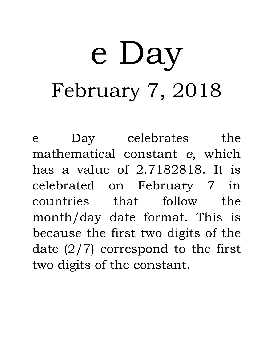## e Day February 7, 2018

e Day celebrates the mathematical constant *e*, which has a value of 2.7182818. It is celebrated on February 7 in countries that follow the month/day date format. This is because the first two digits of the date  $(2/7)$  correspond to the first two digits of the constant.